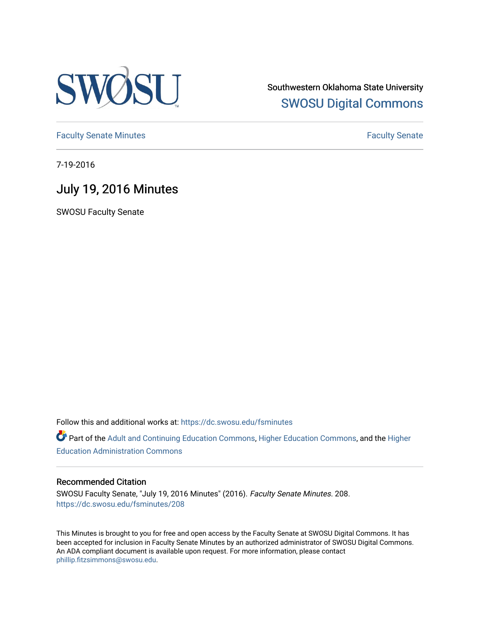

Southwestern Oklahoma State University [SWOSU Digital Commons](https://dc.swosu.edu/) 

[Faculty Senate Minutes](https://dc.swosu.edu/fsminutes) **Faculty** Senate Minutes

7-19-2016

## July 19, 2016 Minutes

SWOSU Faculty Senate

Follow this and additional works at: [https://dc.swosu.edu/fsminutes](https://dc.swosu.edu/fsminutes?utm_source=dc.swosu.edu%2Ffsminutes%2F208&utm_medium=PDF&utm_campaign=PDFCoverPages) 

Part of the [Adult and Continuing Education Commons,](http://network.bepress.com/hgg/discipline/1375?utm_source=dc.swosu.edu%2Ffsminutes%2F208&utm_medium=PDF&utm_campaign=PDFCoverPages) [Higher Education Commons,](http://network.bepress.com/hgg/discipline/1245?utm_source=dc.swosu.edu%2Ffsminutes%2F208&utm_medium=PDF&utm_campaign=PDFCoverPages) and the [Higher](http://network.bepress.com/hgg/discipline/791?utm_source=dc.swosu.edu%2Ffsminutes%2F208&utm_medium=PDF&utm_campaign=PDFCoverPages) [Education Administration Commons](http://network.bepress.com/hgg/discipline/791?utm_source=dc.swosu.edu%2Ffsminutes%2F208&utm_medium=PDF&utm_campaign=PDFCoverPages) 

#### Recommended Citation

SWOSU Faculty Senate, "July 19, 2016 Minutes" (2016). Faculty Senate Minutes. 208. [https://dc.swosu.edu/fsminutes/208](https://dc.swosu.edu/fsminutes/208?utm_source=dc.swosu.edu%2Ffsminutes%2F208&utm_medium=PDF&utm_campaign=PDFCoverPages) 

This Minutes is brought to you for free and open access by the Faculty Senate at SWOSU Digital Commons. It has been accepted for inclusion in Faculty Senate Minutes by an authorized administrator of SWOSU Digital Commons. An ADA compliant document is available upon request. For more information, please contact [phillip.fitzsimmons@swosu.edu](mailto:phillip.fitzsimmons@swosu.edu).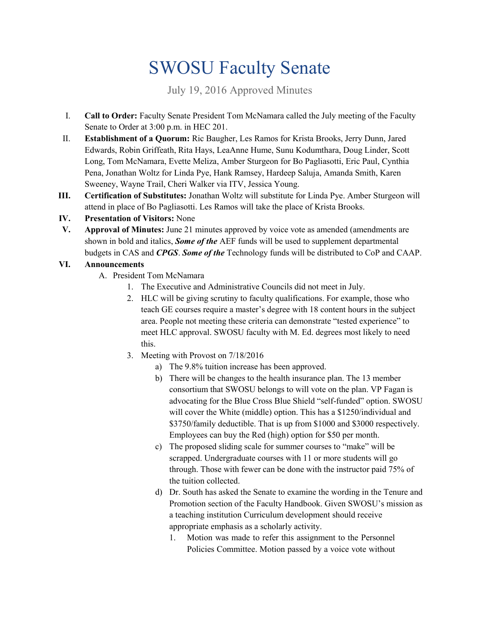# SWOSU Faculty Senate

July 19, 2016 Approved Minutes

- I. **Call to Order:** Faculty Senate President Tom McNamara called the July meeting of the Faculty Senate to Order at 3:00 p.m. in HEC 201.
- II. **Establishment of a Quorum:** Ric Baugher, Les Ramos for Krista Brooks, Jerry Dunn, Jared Edwards, Robin Griffeath, Rita Hays, LeaAnne Hume, Sunu Kodumthara, Doug Linder, Scott Long, Tom McNamara, Evette Meliza, Amber Sturgeon for Bo Pagliasotti, Eric Paul, Cynthia Pena, Jonathan Woltz for Linda Pye, Hank Ramsey, Hardeep Saluja, Amanda Smith, Karen Sweeney, Wayne Trail, Cheri Walker via ITV, Jessica Young.
- **III. Certification of Substitutes:** Jonathan Woltz will substitute for Linda Pye. Amber Sturgeon will attend in place of Bo Pagliasotti. Les Ramos will take the place of Krista Brooks.
- **IV. Presentation of Visitors:** None
- **V. Approval of Minutes:** June 21 minutes approved by voice vote as amended (amendments are shown in bold and italics, *Some of the* AEF funds will be used to supplement departmental budgets in CAS and *CPGS*. *Some of the* Technology funds will be distributed to CoP and CAAP.

### **VI. Announcements**

- A. President Tom McNamara
	- 1. The Executive and Administrative Councils did not meet in July.
	- 2. HLC will be giving scrutiny to faculty qualifications. For example, those who teach GE courses require a master's degree with 18 content hours in the subject area. People not meeting these criteria can demonstrate "tested experience" to meet HLC approval. SWOSU faculty with M. Ed. degrees most likely to need this.
	- 3. Meeting with Provost on 7/18/2016
		- a) The 9.8% tuition increase has been approved.
		- b) There will be changes to the health insurance plan. The 13 member consortium that SWOSU belongs to will vote on the plan. VP Fagan is advocating for the Blue Cross Blue Shield "self-funded" option. SWOSU will cover the White (middle) option. This has a \$1250/individual and \$3750/family deductible. That is up from \$1000 and \$3000 respectively. Employees can buy the Red (high) option for \$50 per month.
		- c) The proposed sliding scale for summer courses to "make" will be scrapped. Undergraduate courses with 11 or more students will go through. Those with fewer can be done with the instructor paid 75% of the tuition collected.
		- d) Dr. South has asked the Senate to examine the wording in the Tenure and Promotion section of the Faculty Handbook. Given SWOSU's mission as a teaching institution Curriculum development should receive appropriate emphasis as a scholarly activity.
			- 1. Motion was made to refer this assignment to the Personnel Policies Committee. Motion passed by a voice vote without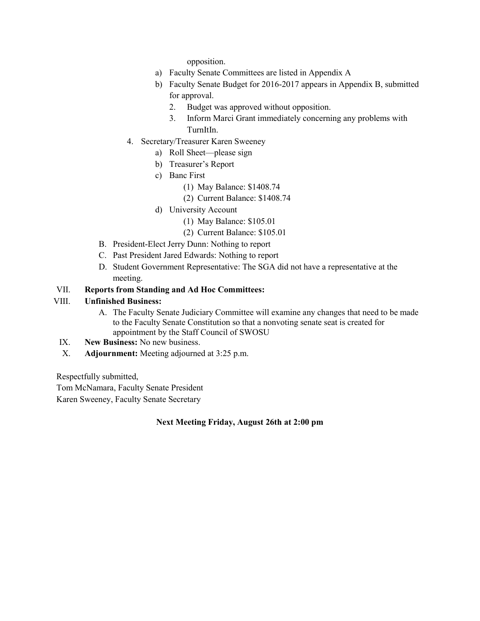opposition.

- a) Faculty Senate Committees are listed in Appendix A
- b) Faculty Senate Budget for 2016-2017 appears in Appendix B, submitted for approval.
	- 2. Budget was approved without opposition.
	- 3. Inform Marci Grant immediately concerning any problems with TurnItIn.
- 4. Secretary/Treasurer Karen Sweeney
	- a) Roll Sheet—please sign
	- b) Treasurer's Report
	- c) Banc First
		- (1) May Balance: \$1408.74
		- (2) Current Balance: \$1408.74
	- d) University Account
		- (1) May Balance: \$105.01
		- (2) Current Balance: \$105.01
- B. President-Elect Jerry Dunn: Nothing to report
- C. Past President Jared Edwards: Nothing to report
- D. Student Government Representative: The SGA did not have a representative at the meeting.

#### VII. **Reports from Standing and Ad Hoc Committees:**

#### VIII. **Unfinished Business:**

- A. The Faculty Senate Judiciary Committee will examine any changes that need to be made to the Faculty Senate Constitution so that a nonvoting senate seat is created for appointment by the Staff Council of SWOSU
- IX. **New Business:** No new business.
- X. **Adjournment:** Meeting adjourned at 3:25 p.m.

Respectfully submitted,

Tom McNamara, Faculty Senate President

Karen Sweeney, Faculty Senate Secretary

#### **Next Meeting Friday, August 26th at 2:00 pm**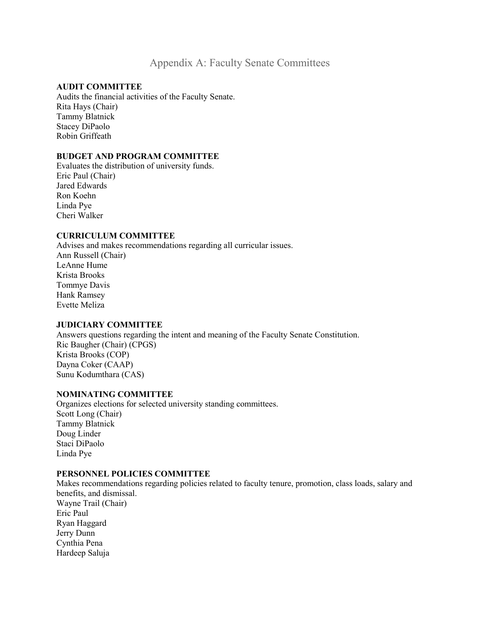## Appendix A: Faculty Senate Committees

#### **AUDIT COMMITTEE**

Audits the financial activities of the Faculty Senate. Rita Hays (Chair) Tammy Blatnick Stacey DiPaolo Robin Griffeath

#### **BUDGET AND PROGRAM COMMITTEE**

Evaluates the distribution of university funds. Eric Paul (Chair) Jared Edwards Ron Koehn Linda Pye Cheri Walker

#### **CURRICULUM COMMITTEE**

Advises and makes recommendations regarding all curricular issues. Ann Russell (Chair) LeAnne Hume Krista Brooks Tommye Davis Hank Ramsey Evette Meliza

#### **JUDICIARY COMMITTEE**

Answers questions regarding the intent and meaning of the Faculty Senate Constitution. Ric Baugher (Chair) (CPGS) Krista Brooks (COP) Dayna Coker (CAAP) Sunu Kodumthara (CAS)

#### **NOMINATING COMMITTEE**

Organizes elections for selected university standing committees. Scott Long (Chair) Tammy Blatnick Doug Linder Staci DiPaolo Linda Pye

#### **PERSONNEL POLICIES COMMITTEE**

Makes recommendations regarding policies related to faculty tenure, promotion, class loads, salary and benefits, and dismissal. Wayne Trail (Chair) Eric Paul Ryan Haggard Jerry Dunn Cynthia Pena Hardeep Saluja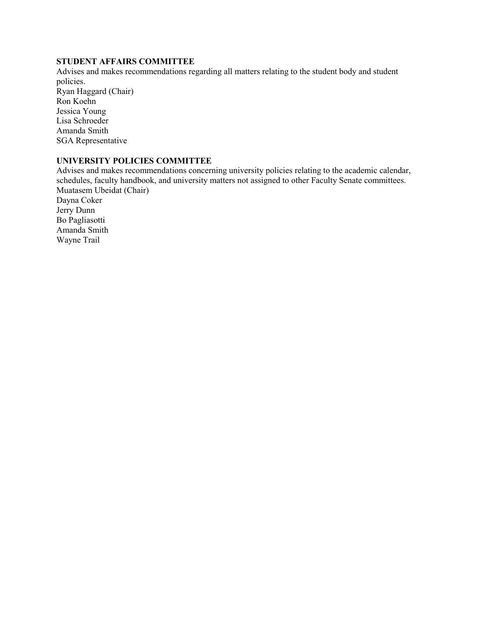#### **STUDENT AFFAIRS COMMITTEE**

Advises and makes recommendations regarding all matters relating to the student body and student policies. Ryan Haggard (Chair)

Ron Koehn Jessica Young Lisa Schroeder Amanda Smith SGA Representative

#### **UNIVERSITY POLICIES COMMITTEE**

Advises and makes recommendations concerning university policies relating to the academic calendar, schedules, faculty handbook, and university matters not assigned to other Faculty Senate committees. Muatasem Ubeidat (Chair) Dayna Coker

Jerry Dunn Bo Pagliasotti Amanda Smith Wayne Trail